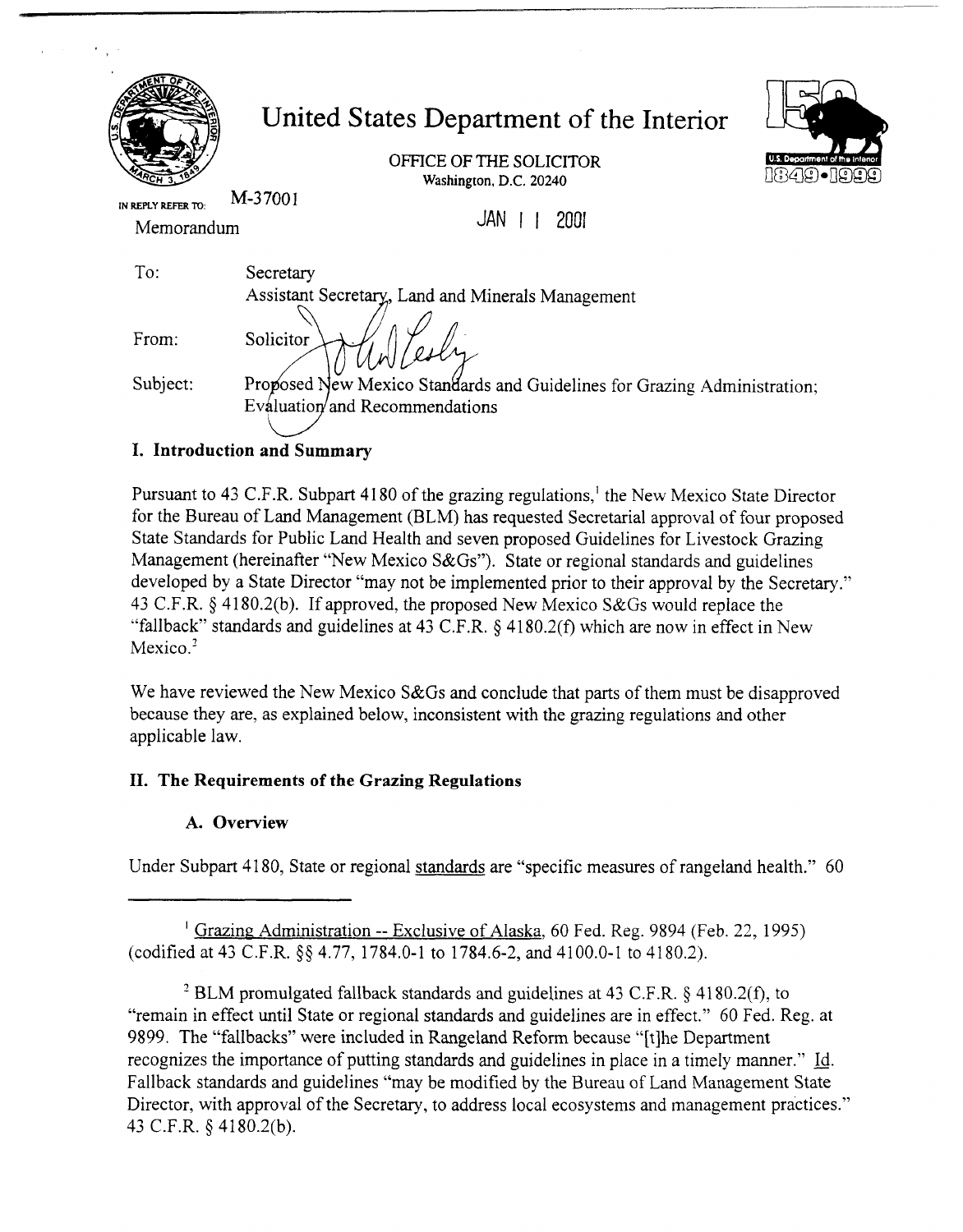| IN REPLY REFER TO:<br>Memorandum | United States Department of the Interior<br>OFFICE OF THE SOLICITOR<br>U.S. Department of the inteno<br>$(2(2)(2) \bullet(2) \bullet(3) )$<br>Washington, D.C. 20240<br>M-37001<br>JAN<br>2001 |  |
|----------------------------------|------------------------------------------------------------------------------------------------------------------------------------------------------------------------------------------------|--|
| To:                              | Secretary                                                                                                                                                                                      |  |
|                                  | Assistant Secretary, Land and Minerals Management                                                                                                                                              |  |
| From:                            | Solicitor                                                                                                                                                                                      |  |
| Subject:                         | Proposed New Mexico Standards and Guidelines for Grazing Administration;                                                                                                                       |  |
|                                  | Evaluation and Recommendations                                                                                                                                                                 |  |

# **I. Introduction and Summary**

 $\sim 0.01$  and

Pursuant to 43 C.F.R. Subpart 41 80 of the grazing regulations,' the New Mexico State Director for the Bureau of Land Management (BLM) has requested Secretarial approval of four proposed State Standards for Public Land Health and seven proposed Guidelines for Livestock Grazing Management (hereinafter "New Mexico S&Gs"). State or regional standards and guidelines developed by a State Director "may not be implemented prior to their approval by the Secretary." 43 C.F.R. \$41 80.2(b). If approved, the proposed New Mexico S&Gs would replace the "fallback" standards and guidelines at 43 C.F.R. \$ 41 80.2(f) which are now in effect in New Mexico.<sup>2</sup>

We have reviewed the New Mexico S&Gs and conclude that parts of them must be disapproved because they are, as explained below, inconsistent with the grazing regulations and other applicable law.

# **11. The Requirements of the Grazing Regulations**

# **A. Overview**

Under Subpart 41 80, State or regional standards are "specific measures of rangeland health." 60

<sup>1</sup> Grazing Administration -- Exclusive of Alaska, 60 Fed. Reg. 9894 (Feb. 22, 1995) (codified at 43 C.F.R. \$\$ 4.77, 1784.0-1 to 1784.6-2, and 41 00.0-1 to 4 180.2).

<sup>2</sup> BLM promulgated fallback standards and guidelines at 43 C.F.R.  $\S$  4180.2(f), to "remain in effect until State or regional standards and guidelines are in effect." 60 Fed. Reg. at 9899. The "fallbacks" were included in Rangeland Reform because "[tlhe Department recognizes the importance of putting standards and guidelines in place in a timely manner." Id. Fallback standards and guidelines "may be modified by the Bureau of Land Management State Director, with approval of the Secretary, to address local ecosystems and management practices." 43 C.F.R. \$ 4 180.2(b).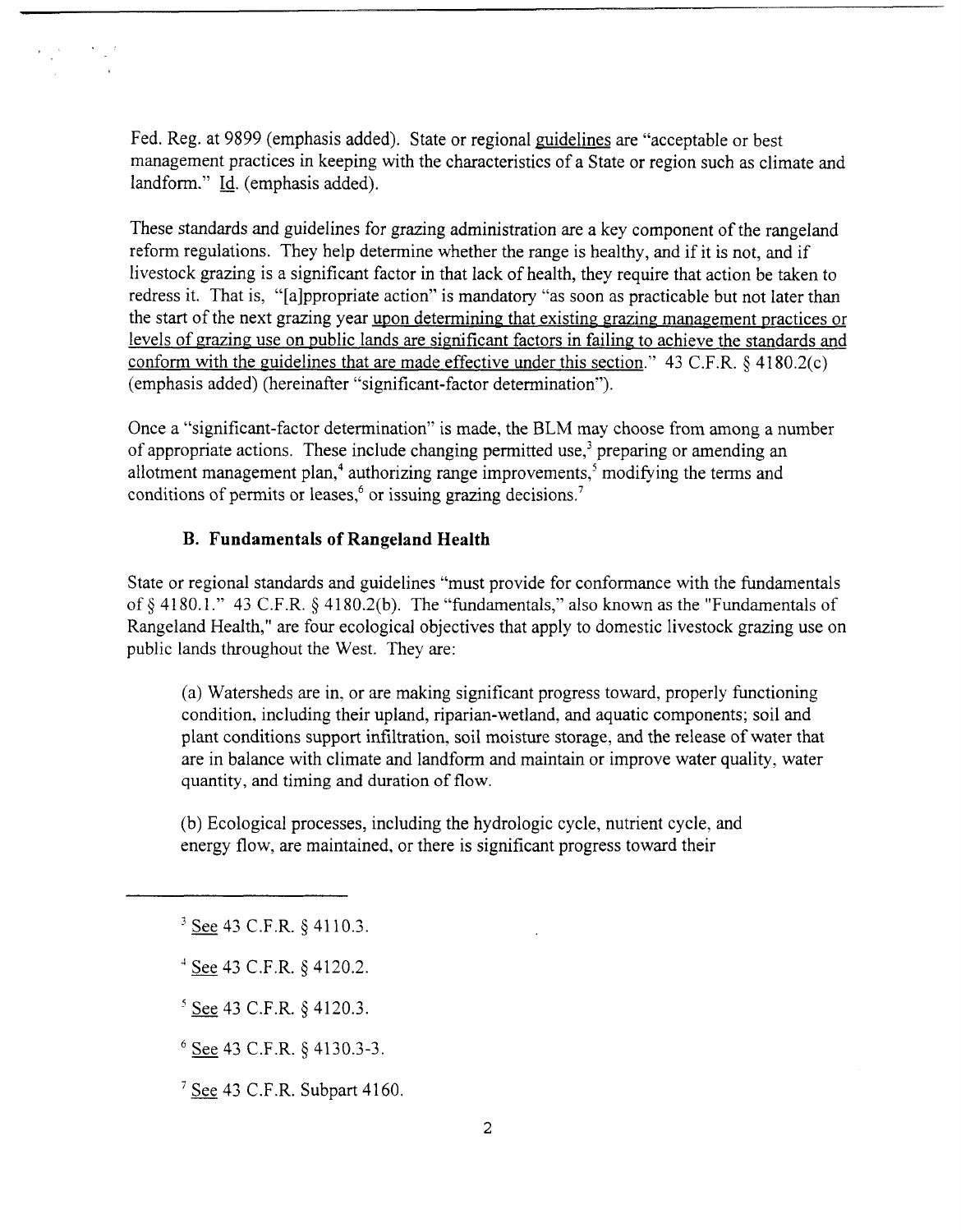Fed. Reg. at 9899 (emphasis added). State or regional guidelines are "acceptable or best management practices in keeping with the characteristics of a State or region such as climate and landform." Id. (emphasis added).

These standards and guidelines for grazing administration are a key component of the rangeland reform regulations. They help determine whether the range is healthy, and if it is not, and if livestock grazing is a significant factor in that lack of health, they require that action be taken to redress it. That is, "[alppropriate action" is mandatory "as soon as practicable but not later than the start of the next grazing year upon determining that existing grazing management practices or levels of grazing use on public lands are significant factors in failing to achieve the standards and conform with the guidelines that are made effective under this section." 43 C.F.R.  $\&$  4180.2(c) (emphasis added) (hereinafter "significant-factor determination").

Once a "significant-factor determination" is made, the BLM may choose from among a number of appropriate actions. These include changing permitted use,<sup>3</sup> preparing or amending an allotment management plan,<sup>4</sup> authorizing range improvements,<sup>5</sup> modifying the terms and conditions of permits or leases,<sup>6</sup> or issuing grazing decisions.<sup>7</sup>

### **B. Fundamentals of Rangeland Health**

State or regional standards and guidelines "must provide for conformance with the fundamentals of  $\S$  4180.1." 43 C.F.R.  $\S$  4180.2(b). The "fundamentals," also known as the "Fundamentals of Rangeland Health," are four ecological objectives that apply to domestic livestock grazing use on public lands throughout the West. They are:

(a) Watersheds are in, or are making significant progress toward, properly functioning condition, including their upland, riparian-wetland, and aquatic components; soil and plant conditions support infiltration, soil moisture storage, and the release of water that are in balance with climate and landform and maintain or improve water quality, water quantity, and timing and duration of flow.

(b) Ecological processes, including the hydrologic cycle, nutrient cycle, and energy flow, are maintained, or there is significant progress toward their

<sup>3</sup> See 43 C.F.R. § 4110.3.

- See 43 C.F.R. § 4110.3.<br>See 43 C.F.R. § 4120.2.  $\frac{4 \text{ See } 43 \text{ C.F.R. } § 4120.2.}$ <br> $\frac{5 \text{ See } 43 \text{ C.F.R. } § 4120.3.}$
- 

**See** 43 C.F.R. \$ 4130.3-3.

 $7$  See 43 C.F.R. Subpart 4160.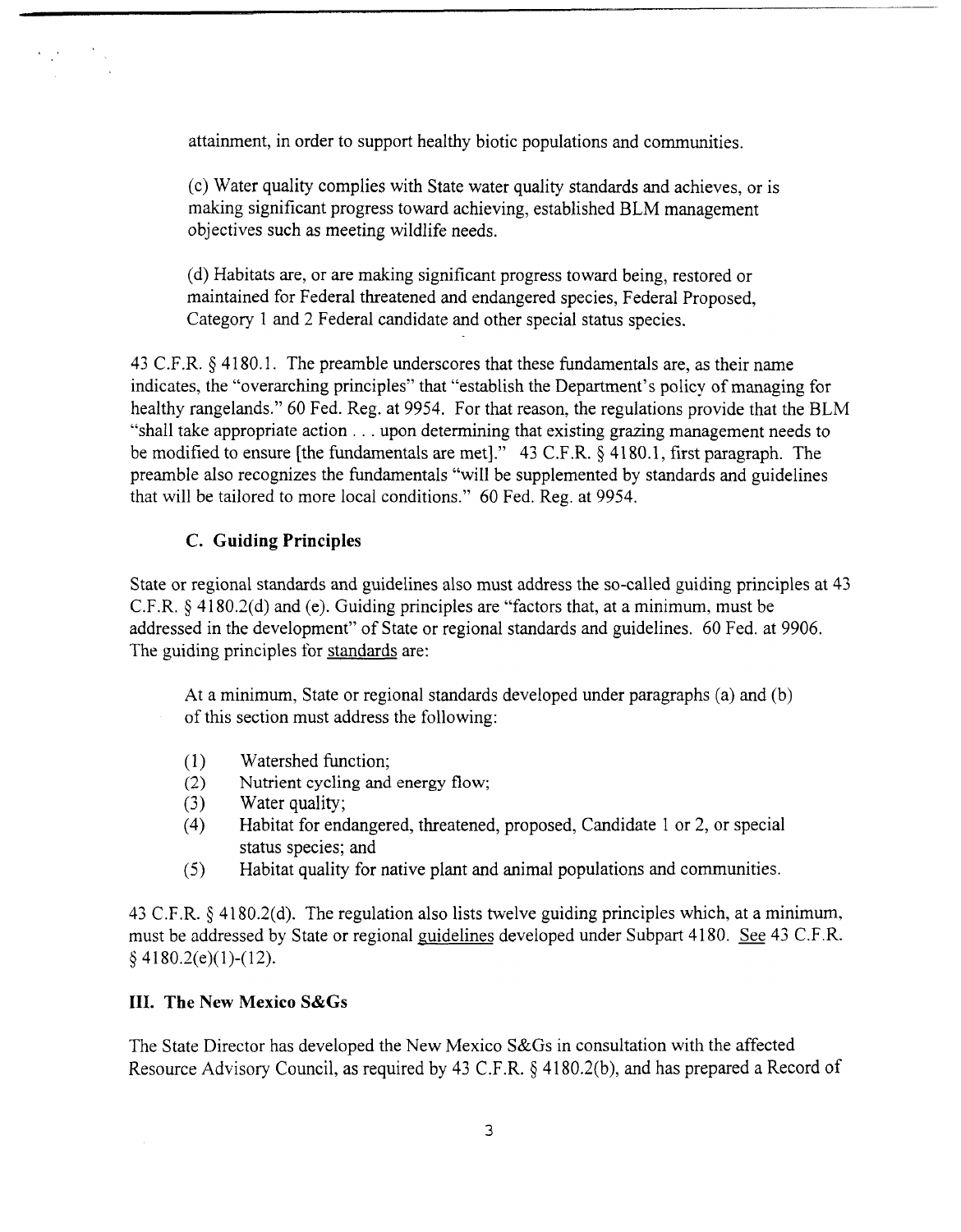attainment, in order to support healthy biotic populations and communities.

(c) Water quality complies with State water quality standards and achieves, or is making significant progress toward achieving, established BLM management objectives such as meeting wildlife needs.

(d) Habitats are, or are making significant progress toward being, restored or maintained for Federal threatened and endangered species, Federal Proposed, Category 1 and 2 Federal candidate and other special status species.

43 C.F.R. § 4180.1. The preamble underscores that these fundamentals are, as their name indicates, the "overarching principles" that "establish the Department's policy of managing for healthy rangelands." 60 Fed. Reg. at 9954. For that reason, the regulations provide that the BLM "shall take appropriate action . . . upon determining that existing grazing management needs to be modified to ensure [the fundamentals are met]." 43 C.F.R. *5* 41 80.1, first paragraph. The preamble also recognizes the fundamentals "will be supplemented by standards and guidelines that will be tailored to more local conditions." 60 Fed. Reg. at 9954.

## **C. Guiding Principles**

State or regional standards and guidelines also must address the so-called guiding principles at 43 C.F.R.  $\S$  4180.2(d) and (e). Guiding principles are "factors that, at a minimum, must be addressed in the development" of State or regional standards and guidelines. 60 Fed. at 9906. The guiding principles for standards are:

At a minimum, State or regional standards developed under paragraphs (a) and (b) of this section must address the following:

- (1) Watershed function;
- (2) Nutrient cycling and energy flow;<br>(3) Water quality;
- Water quality;
- (4) Habitat for endangered, threatened, proposed, Candidate 1 or 2, or special status species; and
- (5) Habitat quality for native plant and animal populations and communities.

43 C.F.R. \$ 41 80.2(d). The regulation also lists twelve guiding principles which, at a minimum, must be addressed by State or regional guidelines developed under Subpart 4180. See 43 C.F.R. *5* 41 80.2(e)(l)-(12).

## **111. The New Mexico S&Gs**

The State Director has developed the New Mexico S&Gs in consultation with the affected Resource Advisory Council, as required by 43 C.F.R. *5* 41 80.2(b), and has prepared a Record of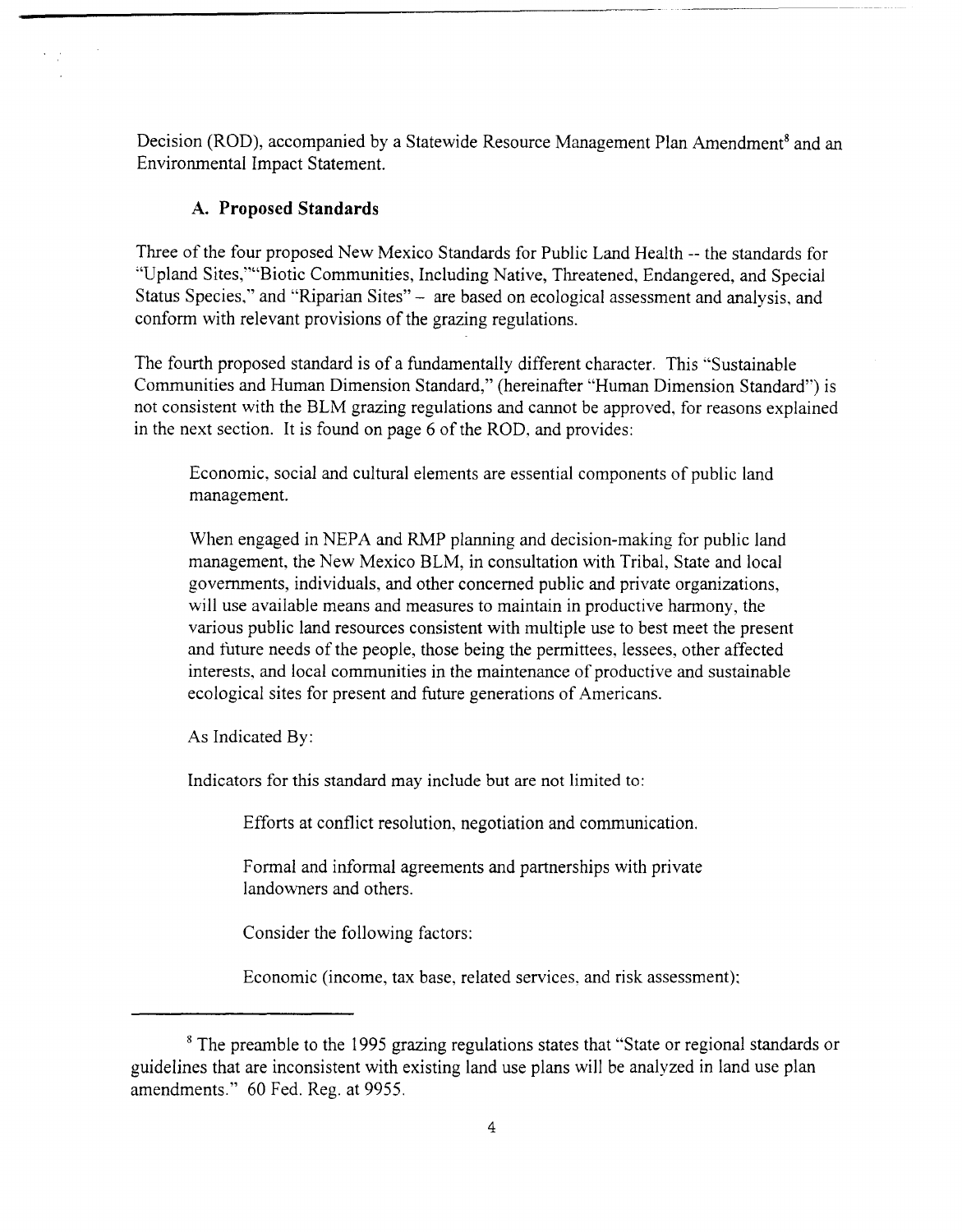Decision (ROD), accompanied by a Statewide Resource Management Plan Amendment<sup>8</sup> and an Environmental Impact Statement.

## **A. Proposed Standards**

Three of the four proposed New Mexico Standards for Public Land Health -- the standards for "Upland Sites,'"'Biotic Communities, Including Native, Threatened, Endangered, and Special Status Species," and "Riparian Sites" - are based on ecological assessment and analysis, and conform with relevant provisions of the grazing regulations.

The fourth proposed standard is of a fundamentally different character. This "Sustainable Communities and Human Dimension Standard," (hereinafter "Human Dimension Standard") is not consistent with the BLM grazing regulations and cannot be approved, for reasons explained in the next section. It is found on page 6 of the ROD, and provides:

Economic, social and cultural elements are essential components of public land management.

When engaged in NEPA and RMP planning and decision-making for public land management, the New Mexico BLM, in consultation with Tribal, State and local governments, individuals, and other concerned public and private organizations, will use available means and measures to maintain in productive harmony, the various public land resources consistent with multiple use to best meet the present and future needs of the people, those being the permittees, lessees, other affected interests, and local communities in the maintenance of productive and sustainable ecological sites for present and future generations of Americans.

As Indicated By:

Indicators for this standard may include but are not limited to:

Efforts at conflict resolution, negotiation and communication.

Formal and informal agreements and partnerships with private landowners and others.

Consider the following factors:

Economic (income, tax base, related services, and risk assessment);

<sup>&</sup>lt;sup>8</sup> The preamble to the 1995 grazing regulations states that "State or regional standards or guidelines that are inconsistent with existing land use plans will be analyzed in land use plan amendments." 60 Fed. Reg. at 9955.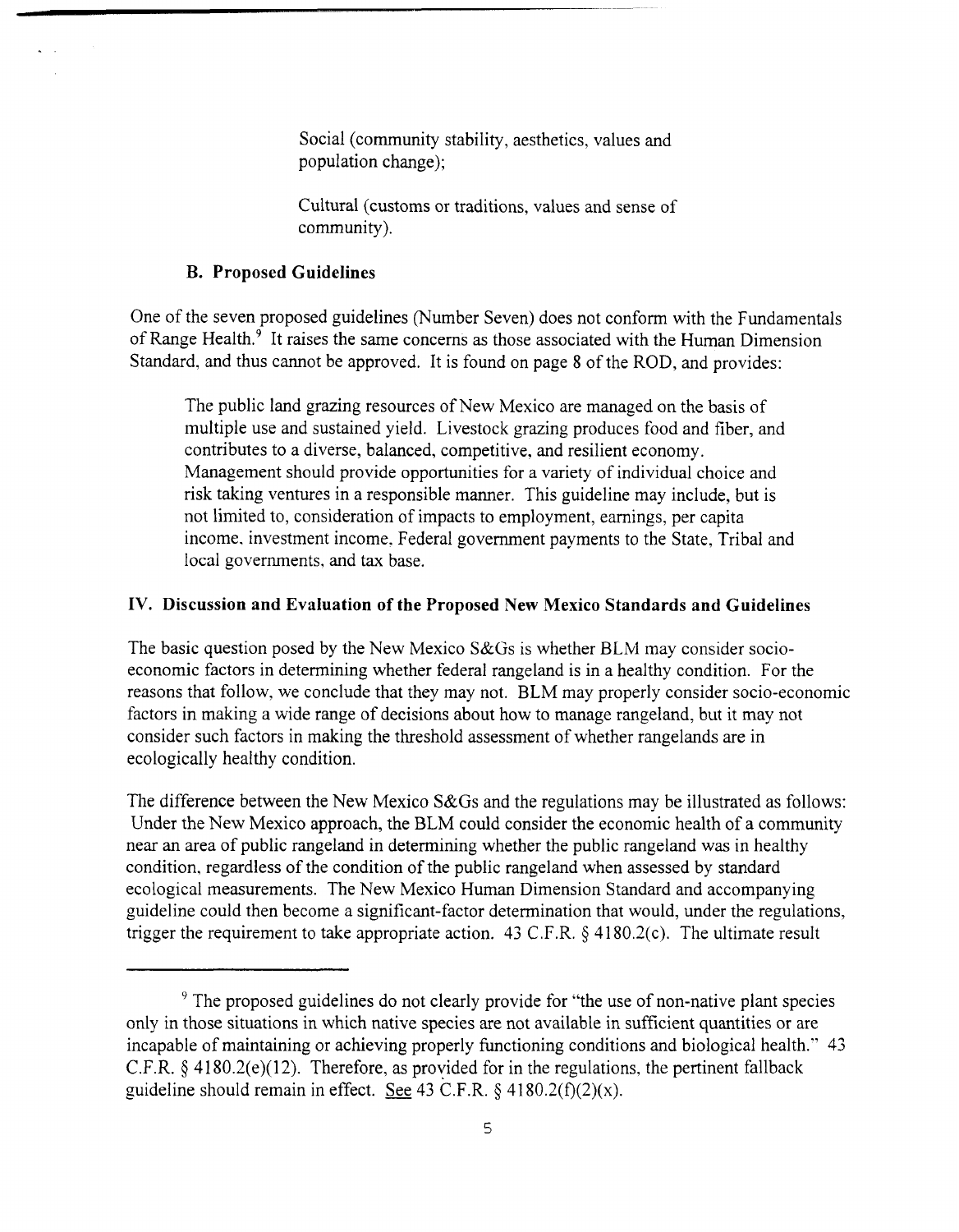Social (community stability, aesthetics, values and population change);

Cultural (customs or traditions, values and sense of community).

### **B. Proposed Guidelines**

One of the seven proposed guidelines (Number Seven) does not conform with the Fundamentals of Range Health.<sup>9</sup> It raises the same concerns as those associated with the Human Dimension Standard, and thus cannot be approved. It is found on page 8 of the ROD, and provides:

The public land grazing resources of New Mexico are managed on the basis of multiple use and sustained yield. Livestock grazing produces food and fiber, and contributes to a diverse, balanced, competitive, and resilient economy. Management should provide opportunities for a variety of individual choice and risk taking ventures in a responsible manner. This guideline may include, but is not limited to, consideration of impacts to employment, earnings, per capita income. investment income. Federal government payments to the State. Tribal and local governments, and tax base.

#### **IV. Discussion and Evaluation of the Proposed New Mexico Standards and Guidelines**

The basic question posed by the New Mexico S&Gs is whether BLM may consider socioeconomic factors in determining whether federal rangeland is in a healthy condition. For the reasons that follow, we conclude that they may not. BLM may properly consider socio-economic factors in making a wide range of decisions about how to manage rangeland, but it may not consider such factors in making the threshold assessment of whether rangelands are in ecologically healthy condition.

The difference between the New Mexico **S&Gs** and the regulations may be illustrated as follows: Under the New Mexico approach, the BLM could consider the economic health of a community near an area of public rangeland in determining whether the public rangeland was in healthy condition, regardless of the condition of the public rangeland when assessed by standard ecological measurements. The New Mexico Human Dimension Standard and accompanying guideline could then become a significant-factor determination that would, under the regulations, trigger the requirement to take appropriate action. 43 C.F.R.  $\S$  4180.2(c). The ultimate result

<sup>&</sup>lt;sup>9</sup> The proposed guidelines do not clearly provide for "the use of non-native plant species only in those situations in which native species are not available in sufficient quantities or are incapable of maintaining or achieving properly functioning conditions and biological health." 43 C.F.R.  $\oint$  4180.2(e)(12). Therefore, as provided for in the regulations, the pertinent fallback guideline should remain in effect. See  $43$  C.F.R.  $§$   $4180.2(f)(2)(x)$ .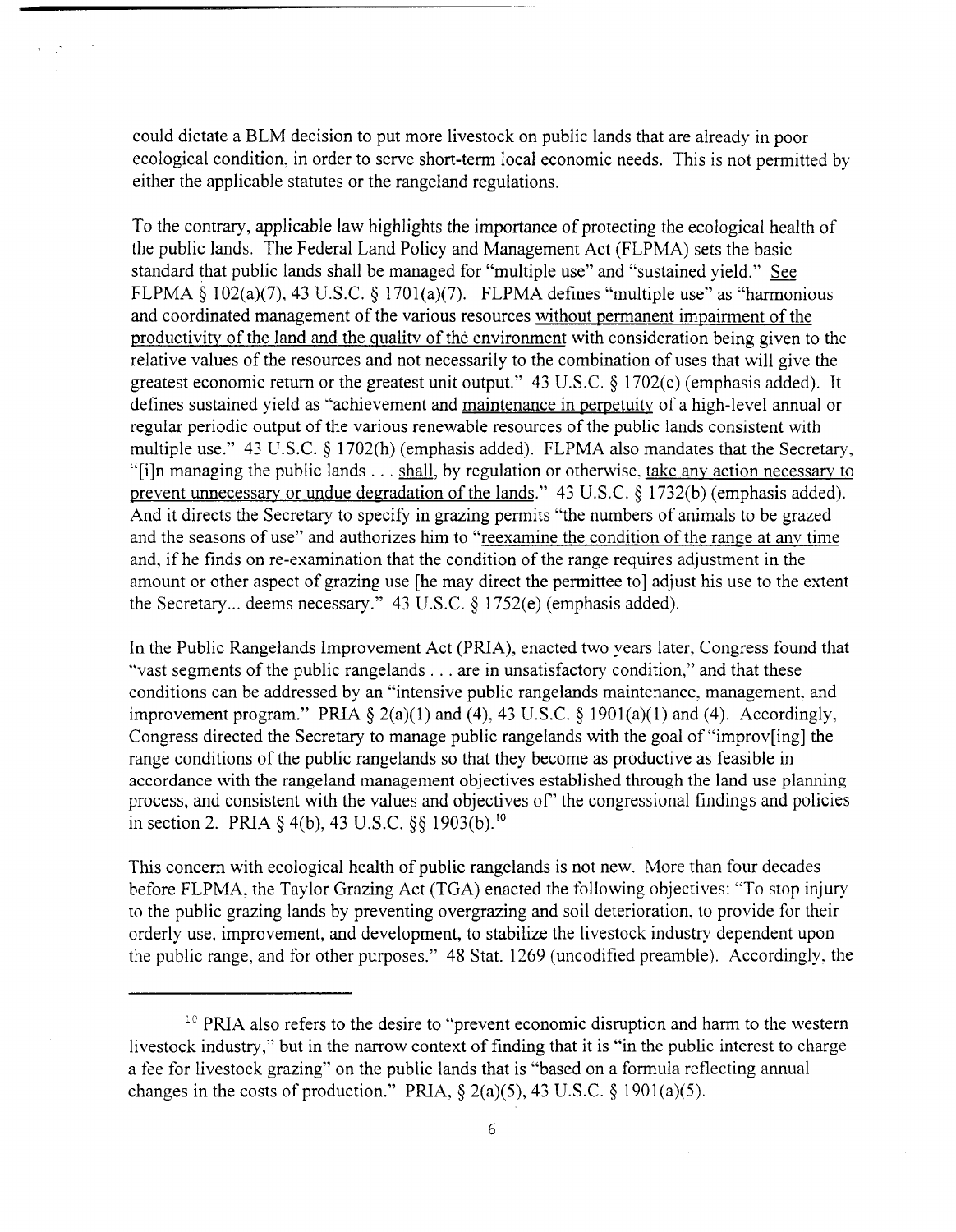could dictate a BLM decision to put more livestock on public lands that are already in poor ecological condition, in order to serve short-term local economic needs. This is not permitted by either the applicable statutes or the rangeland regulations.

To the contrary, applicable law highlights the importance of protecting the ecological health of the public lands. The Federal Land Policy and Management Act (FLPMA) sets the basic standard that public lands shall be managed for "multiple use" and "sustained yield." See FLPMA *5* 102(a)(7), 43 U.S.C. *5* 1701(a)(7). FLPMA defines "multiple use" as "harmonious and coordinated management of the various resources without permanent impairment of the productivitv of the land and the qualitv of the environment with consideration being given to the relative values of the resources and not necessarily to the combination of uses that will give the greatest economic return or the greatest unit output." 43 U.S.C. \$ 1702(c) (emphasis added). It defines sustained yield as "achievement and maintenance in perpetuitv of a high-level annual or regular periodic output of the various renewable resources of the public lands consistent with multiple use." 43 U.S.C. § 1702(h) (emphasis added). FLPMA also mandates that the Secretary, "[i]n managing the public lands  $\dots$  shall, by regulation or otherwise, take any action necessary to prevent unnecessarv or undue degradation of the lands." 43 U.S.C. *5* 1732(b) (emphasis added). And it directs the Secretary to specify in grazing permits "the numbers of animals to be grazed and the seasons of use" and authorizes him to "reexamine the condition of the range at anv time and, if he finds on re-examination that the condition of the range requires adjustment in the amount or other aspect of grazing use [he may direct the permittee to] adjust his use to the extent the Secretary ... deems necessary." 43 U.S.C. **S** 1752(e) (emphasis added).

In the Public Rangelands Improvement Act (PRIA), enacted two years later, Congress found that "vast segments of the public rangelands . . . are in unsatisfactory condition," and that these conditions can be addressed by an "intensive public rangelands maintenance. management. and improvement program." PRIA  $\S 2(a)(1)$  and (4), 43 U.S.C.  $\S 1901(a)(1)$  and (4). Accordingly, Congress directed the Secretary to manage public rangelands with the goal of "improv[ing] the range conditions of the public rangelands so that they become as productive as feasible in accordance with the rangeland management objectives established through the land use planning process, and consistent with the values and objectives of' the congressional findings and policies in section 2. PRIA  $\S$  4(b), 43 U.S.C.  $\S$ § 1903(b).<sup>10</sup>

This concern with ecological health of public rangelands is not new. More than four decades before FLPMA, the Taylor Grazing Act (TGA) enacted the following objectives: "To stop injury to the public grazing lands by preventing overgrazing and soil deterioration, to provide for their orderly use, improvement, and development, to stabilize the livestock industry dependent upon the public range, and for other purposes." 48 Stat. 1269 (uncodified preamble). Accordingly. the

<sup>&</sup>lt;sup>10</sup> PRIA also refers to the desire to "prevent economic disruption and harm to the western livestock industry," but in the narrow context of finding that it is "in the public interest to charge a fee for livestock grazing" on the public lands that is "based on a formula reflecting annual changes in the costs of production." PRIA,  $\S$   $2(a)(5)$ , 43 U.S.C.  $\S$   $1901(a)(5)$ .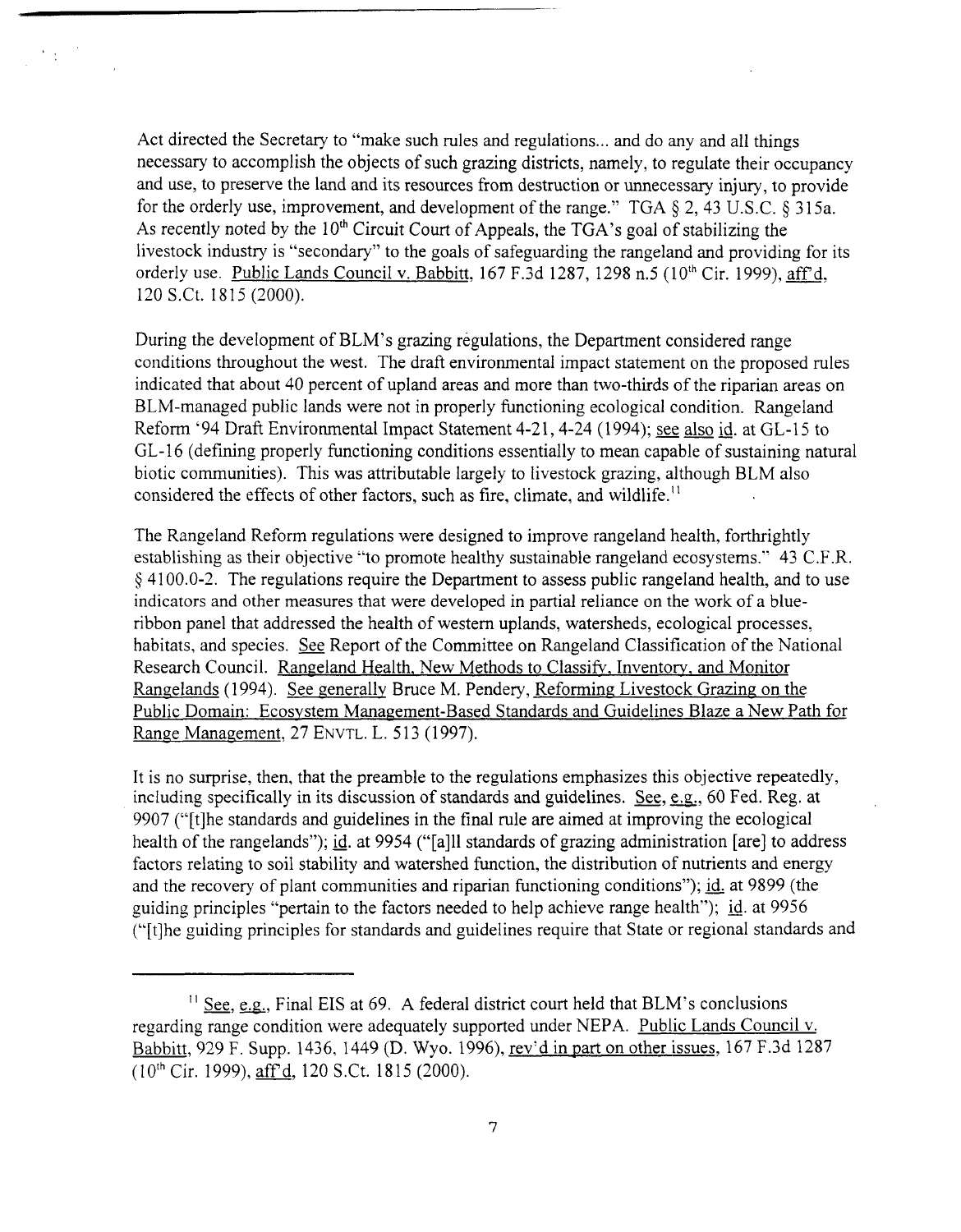Act directed the Secretary to "make such rules and regulations ... and do any and all things necessary to accomplish the objects of such grazing districts, namely, to regulate their occupancy and use, to preserve the land and its resources from destruction or unnecessary injury, to provide for the orderly use, improvement, and development of the range." TGA *5* 2,43 U.S.C. *5* 3 15a. As recently noted by the  $10<sup>th</sup>$  Circuit Court of Appeals, the TGA's goal of stabilizing the livestock industry is "secondary" to the goals of safeguarding the rangeland and providing for its orderly use. Public Lands Council v. Babbitt, 167 F.3d 1287, 1298 n.5 (10<sup>th</sup> Cir. 1999), aff'd, 120 S.Ct. 18 15 (2000).

During the development of BLM's grazing regulations, the Department considered range conditions throughout the west. The draft environmental impact statement on the proposed rules indicated that about 40 percent of upland areas and more than two-thirds of the riparian areas on BLM-managed public lands were not in properly functioning ecological condition. Rangeland Reform '94 Draft Environmental Impact Statement 4-21, 4-24 (1994); see also id. at GL-15 to GL- 16 (defining properly functioning conditions essentially to mean capable of sustaining natural biotic communities). This was attributable largely to livestock grazing, although BLM also considered the effects of other factors, such as fire, climate, and wildlife.''

The Rangeland Reform regulations were designed to improve rangeland health, forthrightly establishing as their objective "to promote healthy sustainable rangeland ecosystems." 43 C.F.R. **9** 41 00.0-2. The regulations require the Department to assess public rangeland health, and to use indicators and other measures that were developed in partial reliance on the work of a blueribbon panel that addressed the health of western uplands, watersheds, ecological processes, habitats, and species. **See** Report of the Committee on Rangeland Classification of the National Research Council. Rangeland Health, New Methods to Classify, Inventory, and Monitor Rangelands (1994). See generally Bruce M. Pendery, Reforming Livestock Grazing on the Public Domain: Ecosvstem Management-Based Standards and Guidelines Blaze a New Path for Range Management, 27 ENVTL, L. 513 (1997).

It is no surprise, then, that the preamble to the regulations emphasizes this objective repeatedly, including specifically in its discussion of standards and guidelines. **See, e.g;.,** 60 Fed. Reg. at 9907 ("[tlhe standards and guidelines in the final rule are aimed at improving the ecological health of the rangelands"); **id.** at 9954 ("[all1 standards of grazing administration [are] to address factors relating to soil stability and watershed function, the distribution of nutrients and energy and the recovery of plant communities and riparian functioning conditions"); **id.** at 9899 (the guiding principles "pertain to the factors needed to help achieve range health"); **id.** at 9956 ("[tlhe guiding principles for standards and guidelines require that State or regional standards and

<sup>&</sup>lt;sup>11</sup> See, e.g., Final EIS at  $69$ . A federal district court held that BLM's conclusions regarding range condition were adequately supported under NEPA. Public Lands Council v. Babbitt, 929 F. Supp. 1436, 1449 (D. Wyo. 1996), rev'd in Part on other issues, 167 F.3d 1287 (loth Cir. 1999), **aff,** 120 S.Ct. 18 15 (2000).